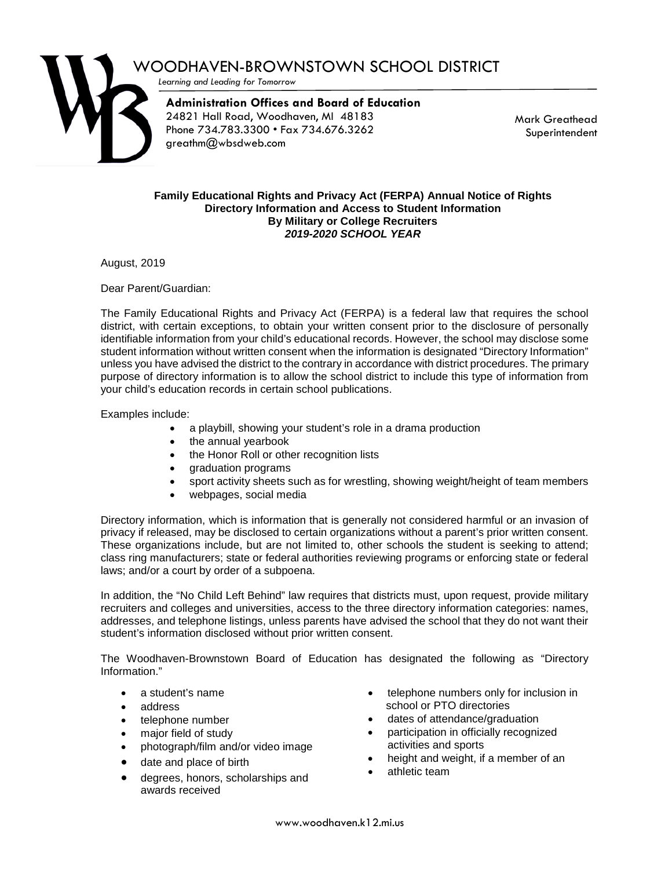

## WOODHAVEN-BROWNSTOWN SCHOOL DISTRICT

*Learning and Leading for Tomorrow*

**Administration Offices and Board of Education** 24821 Hall Road, Woodhaven, MI 48183 Phone 734.783.3300 • Fax 734.676.3262 greathm@wbsdweb.com

Mark Greathead Superintendent

## **Family Educational Rights and Privacy Act (FERPA) Annual Notice of Rights Directory Information and Access to Student Information By Military or College Recruiters** *2019-2020 SCHOOL YEAR*

August, 2019

Dear Parent/Guardian:

The Family Educational Rights and Privacy Act (FERPA) is a federal law that requires the school district, with certain exceptions, to obtain your written consent prior to the disclosure of personally identifiable information from your child's educational records. However, the school may disclose some student information without written consent when the information is designated "Directory Information" unless you have advised the district to the contrary in accordance with district procedures. The primary purpose of directory information is to allow the school district to include this type of information from your child's education records in certain school publications.

Examples include:

- a playbill, showing your student's role in a drama production
- the annual yearbook
- the Honor Roll or other recognition lists
- graduation programs
- sport activity sheets such as for wrestling, showing weight/height of team members
- webpages, social media

Directory information, which is information that is generally not considered harmful or an invasion of privacy if released, may be disclosed to certain organizations without a parent's prior written consent. These organizations include, but are not limited to, other schools the student is seeking to attend; class ring manufacturers; state or federal authorities reviewing programs or enforcing state or federal laws; and/or a court by order of a subpoena.

In addition, the "No Child Left Behind" law requires that districts must, upon request, provide military recruiters and colleges and universities, access to the three directory information categories: names, addresses, and telephone listings, unless parents have advised the school that they do not want their student's information disclosed without prior written consent.

The Woodhaven-Brownstown Board of Education has designated the following as "Directory Information."

- a student's name
- address
- telephone number
- major field of study
- photograph/film and/or video image
- date and place of birth
- degrees, honors, scholarships and awards received
- telephone numbers only for inclusion in school or PTO directories
- dates of attendance/graduation
- participation in officially recognized activities and sports
- height and weight, if a member of an
- athletic team